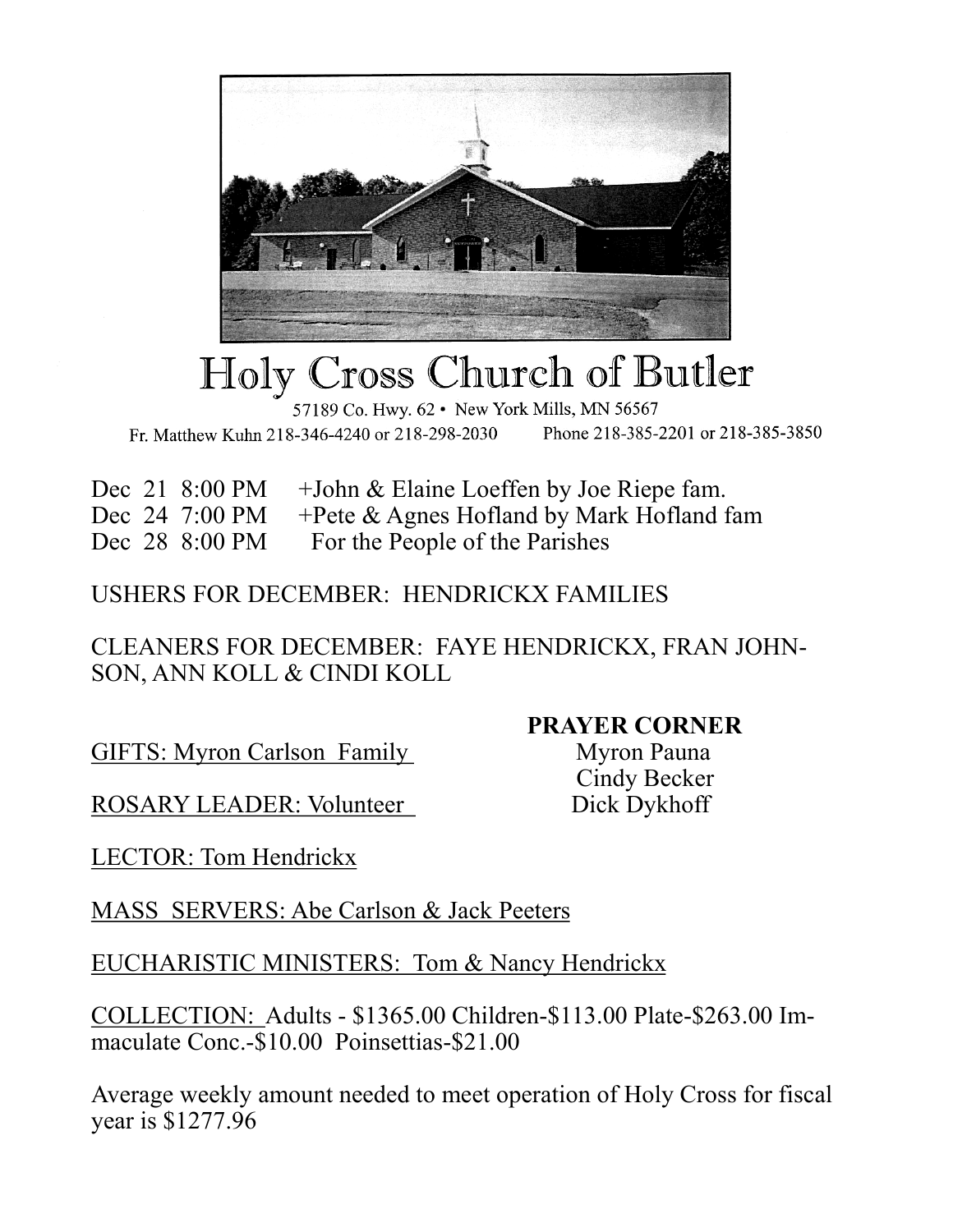

## Holy Cross Church of Butler

57189 Co. Hwy. 62 · New York Mills, MN 56567 Phone 218-385-2201 or 218-385-3850 Fr. Matthew Kuhn 218-346-4240 or 218-298-2030

Dec 21 8:00 PM + John & Elaine Loeffen by Joe Riepe fam.

Dec 24 7:00 PM +Pete & Agnes Hofland by Mark Hofland fam

Dec 28 8:00 PM For the People of the Parishes

## USHERS FOR DECEMBER: HENDRICKX FAMILIES

CLEANERS FOR DECEMBER: FAYE HENDRICKX, FRAN JOHN-SON, ANN KOLL & CINDI KOLL

GIFTS: Myron Carlson Family Myron Pauna

**PRAYER CORNER**

Cindy Becker

ROSARY LEADER: Volunteer Dick Dykhoff

LECTOR: Tom Hendrickx

MASS SERVERS: Abe Carlson & Jack Peeters

EUCHARISTIC MINISTERS: Tom & Nancy Hendrickx

COLLECTION: Adults - \$1365.00 Children-\$113.00 Plate-\$263.00 Immaculate Conc.-\$10.00 Poinsettias-\$21.00

Average weekly amount needed to meet operation of Holy Cross for fiscal year is \$1277.96